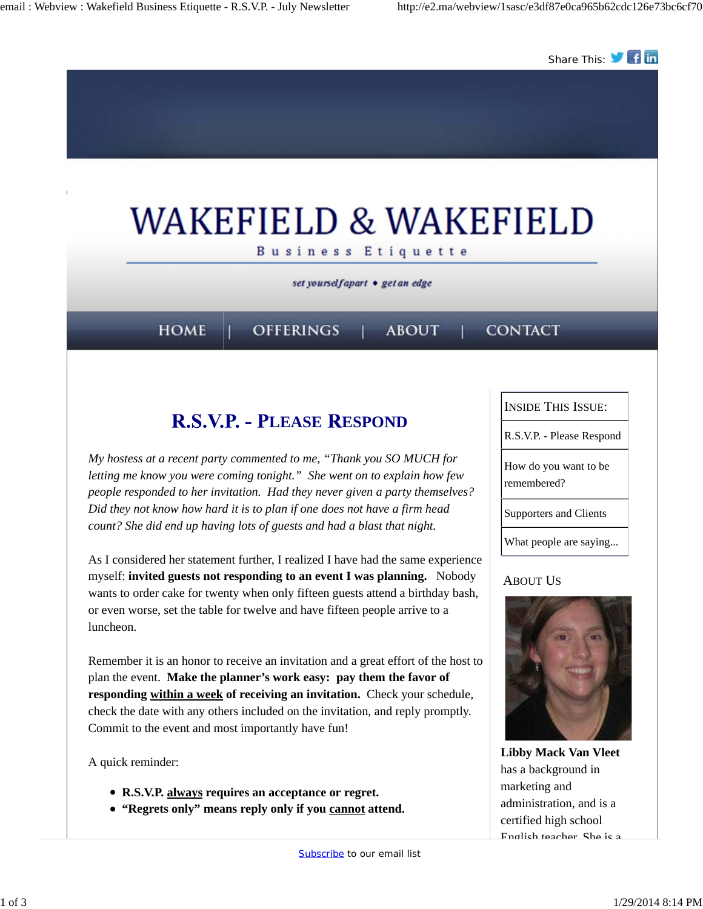

*My hostess at a recent party commented to me, "Thank you SO MUCH for letting me know you were coming tonight." She went on to explain how few people responded to her invitation. Had they never given a party themselves? Did they not know how hard it is to plan if one does not have a firm head count? She did end up having lots of guests and had a blast that night.*

As I considered her statement further, I realized I have had the same experience myself: **invited guests not responding to an event I was planning.** Nobody wants to order cake for twenty when only fifteen guests attend a birthday bash, or even worse, set the table for twelve and have fifteen people arrive to a luncheon.

Remember it is an honor to receive an invitation and a great effort of the host to plan the event. **Make the planner's work easy: pay them the favor of responding within a week of receiving an invitation.** Check your schedule, check the date with any others included on the invitation, and reply promptly. Commit to the event and most importantly have fun!

A quick reminder:

- **R.S.V.P. always requires an acceptance or regret.**
- **"Regrets only" means reply only if you cannot attend.**

How do you want to be remembered?

Supporters and Clients

What people are saying...

### ABOUT US



**Libby Mack Van Vleet** has a background in marketing and administration, and is a certified high school English teacher. She is a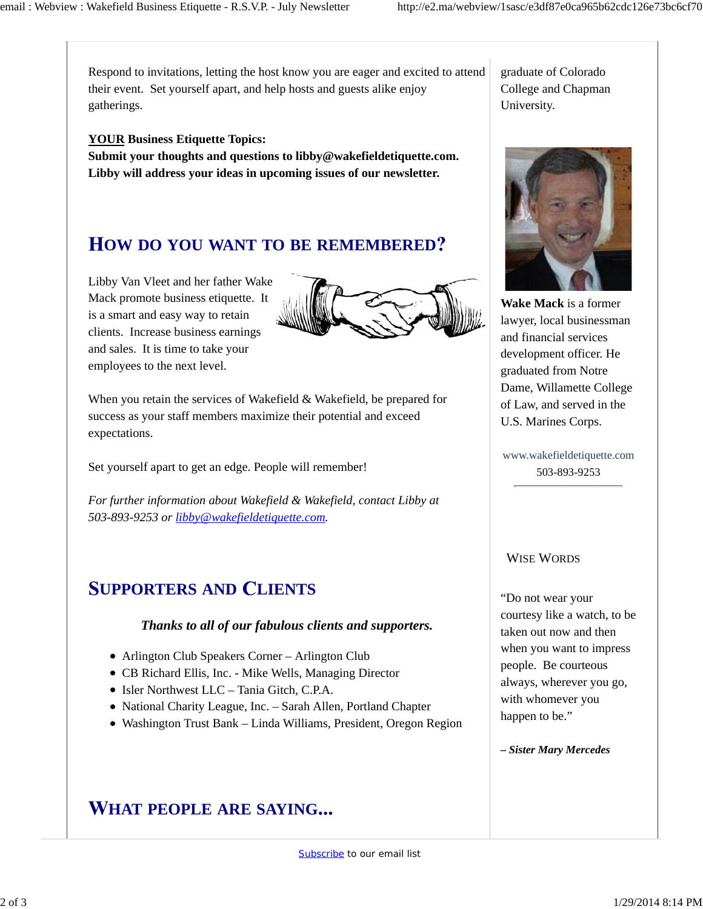Respond to invitations, letting the host know you are eager and excited to attend their event. Set yourself apart, and help hosts and guests alike enjoy gatherings.

#### **YOUR Business Etiquette Topics:**

**Submit your thoughts and questions to libby@wakefieldetiquette.com. Libby will address your ideas in upcoming issues of our newsletter.**

### **OW DO YOU WANT TO BE REMEMBERED**

Libby Van Vleet and her father Wake Mack promote business etiquette. It is a smart and easy way to retain clients. Increase business earnings and sales. It is time to take your employees to the next level.



When you retain the services of Wakefield & Wakefield, be prepared for success as your staff members maximize their potential and exceed expectations.

Set yourself apart to get an edge. People will remember!

*For further information about Wakefield & Wakefield, contact Libby at 503-893-9253 or libby@wakefieldetiquette.com.*

# **UPPORTERS AND LIENTS**

#### *Thanks to all of our fabulous clients and supporters.*

- Arlington Club Speakers Corner Arlington Club
- CB Richard Ellis, Inc. Mike Wells, Managing Director
- Isler Northwest LLC Tania Gitch, C.P.A.
- National Charity League, Inc. Sarah Allen, Portland Chapter
- Washington Trust Bank Linda Williams, President, Oregon Region

# **HAT PEOPLE ARE SAYING**

graduate of Colorado College and Chapman University.



**Wake Mack** is a former lawyer, local businessman and financial services development officer. He graduated from Notre Dame, Willamette College of Law, and served in the U.S. Marines Corps.

www.wakefieldetiquette.com 503-893-9253

#### WISE WORDS

"Do not wear your courtesy like a watch, to be taken out now and then when you want to impress people. Be courteous always, wherever you go, with whomever you happen to be."

*– Sister Mary Mercedes*